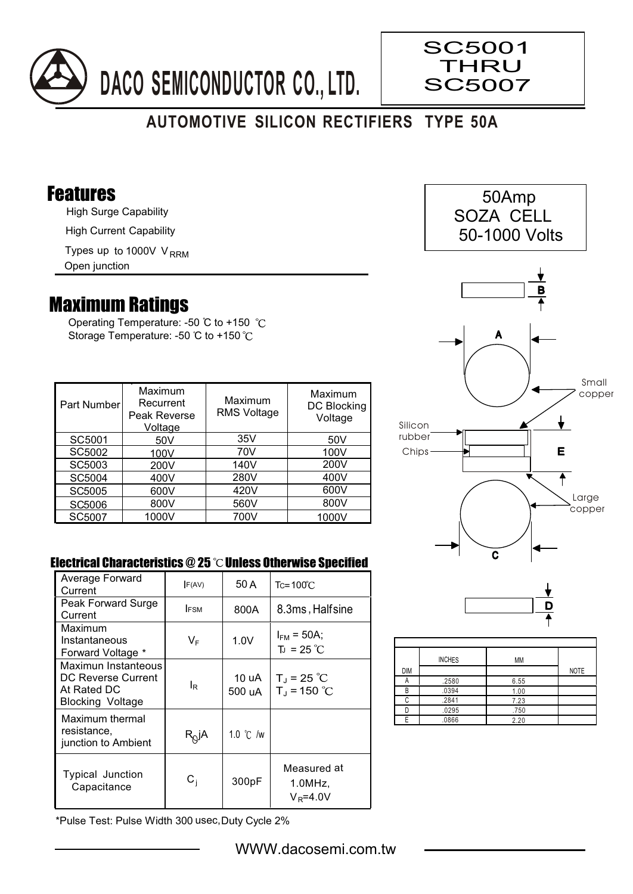

# **AUTOMOTIVE SILICON RECTIFIERS TYPE 50A**

### Features

High Surge Capability

High Current Capability

Types up to 1000V V<sub>RRM</sub>

Open junction

## Maximum Ratings

Operating Temperature: -50 °C to +150 °C Storage Temperature: -50 °C to +150 °C

| Part Number   | Maximum<br>Recurrent<br>Peak Reverse<br>Voltage | Maximum<br><b>RMS Voltage</b> | Maximum<br><b>DC Blocking</b><br>Voltage |
|---------------|-------------------------------------------------|-------------------------------|------------------------------------------|
| SC5001        | 50V                                             | 35V                           | 50 <sub>V</sub>                          |
| SC5002        | 100V                                            | 70V                           | 100V                                     |
| SC5003        | 200V                                            | 140V                          | 200V                                     |
| SC5004        | 400V                                            | 280V                          | 400V                                     |
| <b>SC5005</b> | 600V                                            | 420V                          | 600V                                     |
| <b>SC5006</b> | 800V                                            | 560V                          | 800V                                     |
| SC5007        | 1000V                                           | 700V                          | 1000V                                    |

#### Electrical Characteristics  $@25$   $^{\circ}$ C Unless Otherwise Specified

| Average Forward<br>Current                                                          | F(AV)        | 50 A               | $Tc = 100^{\circ}$ C                  |
|-------------------------------------------------------------------------------------|--------------|--------------------|---------------------------------------|
| Peak Forward Surge<br>Current                                                       | <b>IFSM</b>  | 800A               | 8.3ms, Halfsine                       |
| Maximum<br>Instantaneous<br>Forward Voltage *                                       | VF           | 1.0V               | $I_{FM}$ = 50A;<br>$T_{J}$ = 25 °C    |
| Maximun Instanteous<br>DC Reverse Current<br>At Rated DC<br><b>Blocking Voltage</b> | lR           | 10 uA<br>500 uA    | $T_J = 25 °C$<br>$T_{J}$ = 150 °C     |
| Maximum thermal<br>resistance,<br>junction to Ambient                               | $R_{Q}$ jA   | 1.0 $\degree$ C /w |                                       |
| Typical Junction<br>Capacitance                                                     | $\rm{C_{i}}$ | 300pF              | Measured at<br>1.0MHz<br>$V_R = 4.0V$ |

\*Pulse Test: Pulse Width 300 usec,Duty Cycle 2%



SC5001 THRU 5007 SC

> 50Amp SOZA CELL 50-1000 Volts

> > B



E

₩

 Small copper



|            | <b>INCHES</b> | MM   |             |
|------------|---------------|------|-------------|
| <b>DIM</b> |               |      | <b>NOTE</b> |
|            | .2580         | 6.55 |             |
| B          | .0394         | 1.00 |             |
| ◠          | .2841         | 7.23 |             |
|            | .0295         | .750 |             |
| F          | .0866         | 2.20 |             |

#### WWW.dacosemi.com.tw